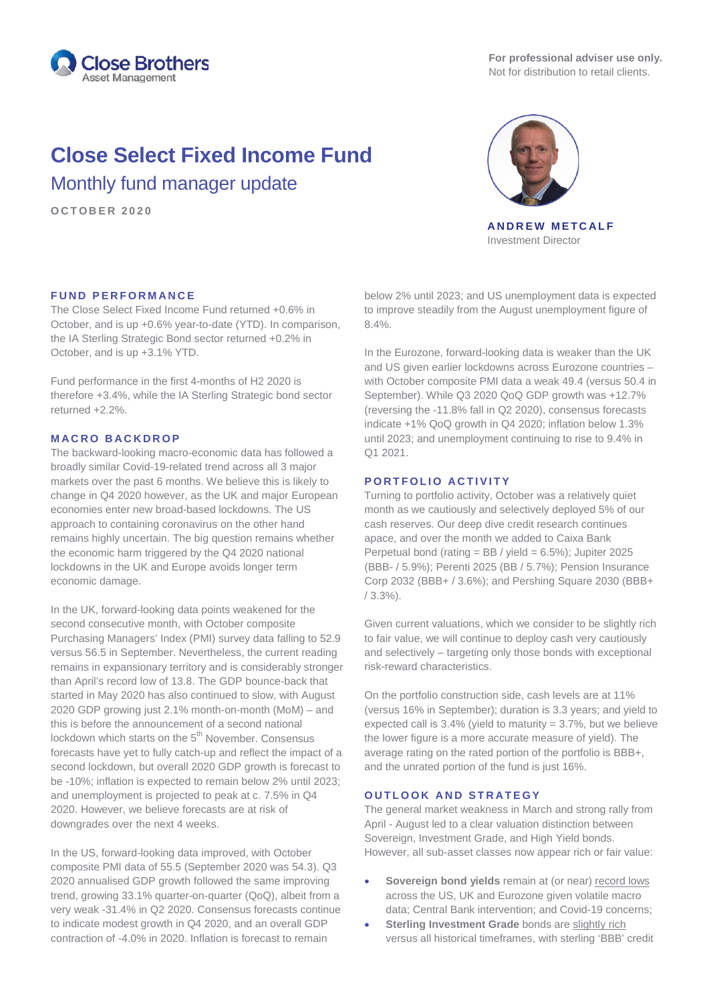

**For professional adviser use only.** Not for distribution to retail clients.

# **Close Select Fixed Income Fund**

Monthly fund manager update

**OCTOBER 2020**



**ANDREW METCALF** Investment Director

## **FUND PERFORMANCE**

The Close Select Fixed Income Fund returned +0.6% in October, and is up +0.6% year-to-date (YTD). In comparison, the IA Sterling Strategic Bond sector returned +0.2% in October, and is up +3.1% YTD.

Fund performance in the first 4-months of H2 2020 is therefore +3.4%, while the IA Sterling Strategic bond sector returned +2.2%.

### **MACRO BACKDROP**

The backward-looking macro-economic data has followed a broadly similar Covid-19-related trend across all 3 major markets over the past 6 months. We believe this is likely to change in Q4 2020 however, as the UK and major European economies enter new broad-based lockdowns. The US approach to containing coronavirus on the other hand remains highly uncertain. The big question remains whether the economic harm triggered by the Q4 2020 national lockdowns in the UK and Europe avoids longer term economic damage.

In the UK, forward-looking data points weakened for the second consecutive month, with October composite Purchasing Managers' Index (PMI) survey data falling to 52.9 versus 56.5 in September. Nevertheless, the current reading remains in expansionary territory and is considerably stronger than April's record low of 13.8. The GDP bounce-back that started in May 2020 has also continued to slow, with August 2020 GDP growing just 2.1% month-on-month (MoM) – and this is before the announcement of a second national lockdown which starts on the 5<sup>th</sup> November. Consensus forecasts have yet to fully catch-up and reflect the impact of a second lockdown, but overall 2020 GDP growth is forecast to be -10%; inflation is expected to remain below 2% until 2023; and unemployment is projected to peak at c. 7.5% in Q4 2020. However, we believe forecasts are at risk of downgrades over the next 4 weeks.

In the US, forward-looking data improved, with October composite PMI data of 55.5 (September 2020 was 54.3). Q3 2020 annualised GDP growth followed the same improving trend, growing 33.1% quarter-on-quarter (QoQ), albeit from a very weak -31.4% in Q2 2020. Consensus forecasts continue to indicate modest growth in Q4 2020, and an overall GDP contraction of -4.0% in 2020. Inflation is forecast to remain

below 2% until 2023; and US unemployment data is expected to improve steadily from the August unemployment figure of 8.4%.

In the Eurozone, forward-looking data is weaker than the UK and US given earlier lockdowns across Eurozone countries – with October composite PMI data a weak 49.4 (versus 50.4 in September). While Q3 2020 QoQ GDP growth was +12.7% (reversing the -11.8% fall in Q2 2020), consensus forecasts indicate +1% QoQ growth in Q4 2020; inflation below 1.3% until 2023; and unemployment continuing to rise to 9.4% in Q1 2021.

#### **PORTFOLIO ACTIVITY**

Turning to portfolio activity, October was a relatively quiet month as we cautiously and selectively deployed 5% of our cash reserves. Our deep dive credit research continues apace, and over the month we added to Caixa Bank Perpetual bond (rating = BB / yield = 6.5%); Jupiter 2025 (BBB- / 5.9%); Perenti 2025 (BB / 5.7%); Pension Insurance Corp 2032 (BBB+ / 3.6%); and Pershing Square 2030 (BBB+ / 3.3%).

Given current valuations, which we consider to be slightly rich to fair value, we will continue to deploy cash very cautiously and selectively – targeting only those bonds with exceptional risk-reward characteristics.

On the portfolio construction side, cash levels are at 11% (versus 16% in September); duration is 3.3 years; and yield to expected call is  $3.4\%$  (yield to maturity =  $3.7\%$ , but we believe the lower figure is a more accurate measure of yield). The average rating on the rated portion of the portfolio is BBB+, and the unrated portion of the fund is just 16%.

## **OUTLOOK AND STRATEGY**

The general market weakness in March and strong rally from April - August led to a clear valuation distinction between Sovereign, Investment Grade, and High Yield bonds. However, all sub-asset classes now appear rich or fair value:

- **Sovereign bond yields** remain at (or near) record lows across the US, UK and Eurozone given volatile macro data; Central Bank intervention; and Covid-19 concerns;
- **Sterling Investment Grade** bonds are slightly rich versus all historical timeframes, with sterling 'BBB' credit